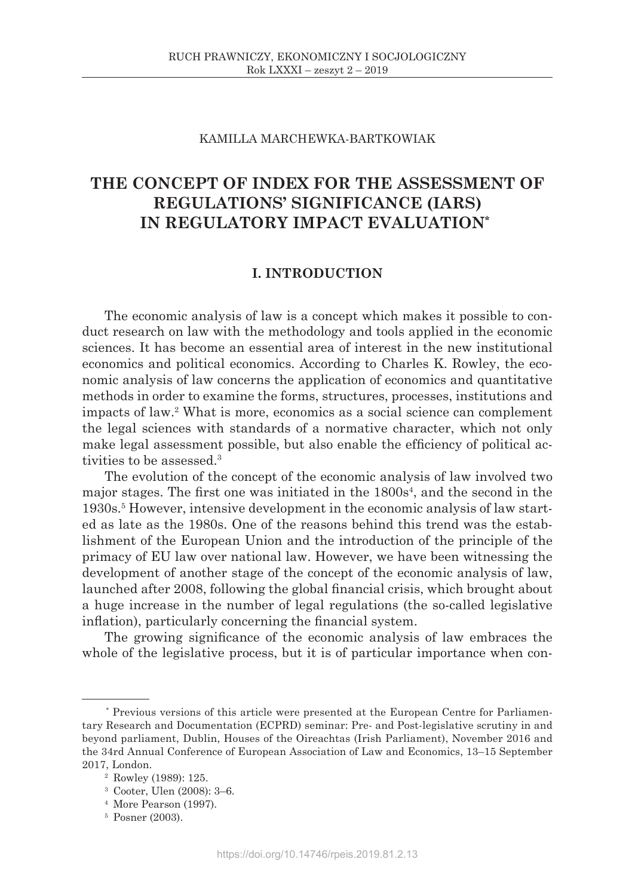# KAMILLA MARCHEWKA-BARTKOWIAK

# **THE CONCEPT OF INDEX FOR THE ASSESSMENT OF REGULATIONS' SIGNIFICANCE (IARS) IN REGULATORY IMPACT EVALUATION\***

# **I. INTRODUCTION**

The economic analysis of law is a concept which makes it possible to conduct research on law with the methodology and tools applied in the economic sciences. It has become an essential area of interest in the new institutional economics and political economics. According to Charles K. Rowley, the economic analysis of law concerns the application of economics and quantitative methods in order to examine the forms, structures, processes, institutions and impacts of law.2 What is more, economics as a social science can complement the legal sciences with standards of a normative character, which not only make legal assessment possible, but also enable the efficiency of political activities to be assessed.3

The evolution of the concept of the economic analysis of law involved two major stages. The first one was initiated in the 1800s<sup>4</sup> , and the second in the 1930s.<sup>5</sup> However, intensive development in the economic analysis of law started as late as the 1980s. One of the reasons behind this trend was the establishment of the European Union and the introduction of the principle of the primacy of EU law over national law. However, we have been witnessing the development of another stage of the concept of the economic analysis of law, launched after 2008, following the global financial crisis, which brought about a huge increase in the number of legal regulations (the so-called legislative inflation), particularly concerning the financial system.

The growing significance of the economic analysis of law embraces the whole of the legislative process, but it is of particular importance when con-

<sup>1</sup> \* Previous versions of this article were presented at the European Centre for Parliamentary Research and Documentation (ECPRD) seminar: Pre- and Post-legislative scrutiny in and beyond parliament, Dublin, Houses of the Oireachtas (Irish Parliament), November 2016 and the 34rd Annual Conference of European Association of Law and Economics, 13–15 September 2017, London.

<sup>2</sup> Rowley (1989): 125.

<sup>3</sup> Cooter, Ulen (2008): 3–6.

<sup>4</sup> More Pearson (1997).

<sup>5</sup> Posner (2003).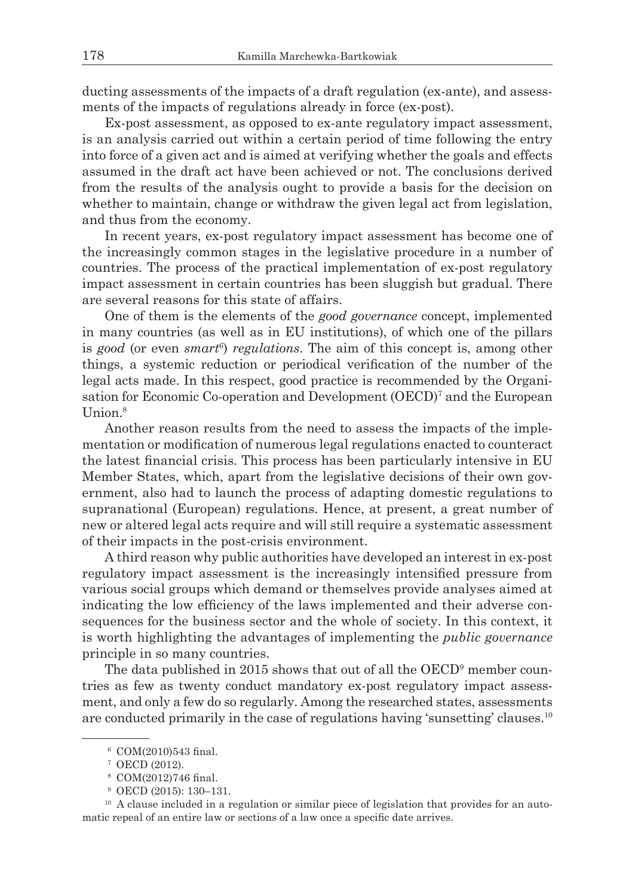ducting assessments of the impacts of a draft regulation (ex-ante), and assessments of the impacts of regulations already in force (ex-post).

Ex-post assessment, as opposed to ex-ante regulatory impact assessment, is an analysis carried out within a certain period of time following the entry into force of a given act and is aimed at verifying whether the goals and effects assumed in the draft act have been achieved or not. The conclusions derived from the results of the analysis ought to provide a basis for the decision on whether to maintain, change or withdraw the given legal act from legislation, and thus from the economy.

In recent years, ex-post regulatory impact assessment has become one of the increasingly common stages in the legislative procedure in a number of countries. The process of the practical implementation of ex-post regulatory impact assessment in certain countries has been sluggish but gradual. There are several reasons for this state of affairs.

One of them is the elements of the *good governance* concept, implemented in many countries (as well as in EU institutions), of which one of the pillars is *good* (or even *smart*<sup>6</sup> ) *regulations*. The aim of this concept is, among other things, a systemic reduction or periodical verification of the number of the legal acts made. In this respect, good practice is recommended by the Organisation for Economic Co-operation and Development (OECD)7 and the European Union.<sup>8</sup>

Another reason results from the need to assess the impacts of the implementation or modification of numerous legal regulations enacted to counteract the latest financial crisis. This process has been particularly intensive in EU Member States, which, apart from the legislative decisions of their own government, also had to launch the process of adapting domestic regulations to supranational (European) regulations. Hence, at present, a great number of new or altered legal acts require and will still require a systematic assessment of their impacts in the post-crisis environment.

A third reason why public authorities have developed an interest in ex-post regulatory impact assessment is the increasingly intensified pressure from various social groups which demand or themselves provide analyses aimed at indicating the low efficiency of the laws implemented and their adverse consequences for the business sector and the whole of society. In this context, it is worth highlighting the advantages of implementing the *public governance* principle in so many countries.

The data published in 2015 shows that out of all the OECD<sup>9</sup> member countries as few as twenty conduct mandatory ex-post regulatory impact assessment, and only a few do so regularly. Among the researched states, assessments are conducted primarily in the case of regulations having 'sunsetting' clauses.<sup>10</sup>

<sup>6</sup> COM(2010)543 final.

<sup>7</sup> OECD (2012).

<sup>8</sup> COM(2012)746 final.

<sup>9</sup> OECD (2015): 130–131.

<sup>&</sup>lt;sup>10</sup> A clause included in a regulation or similar piece of legislation that provides for an automatic repeal of an entire law or sections of a law once a specific date arrives.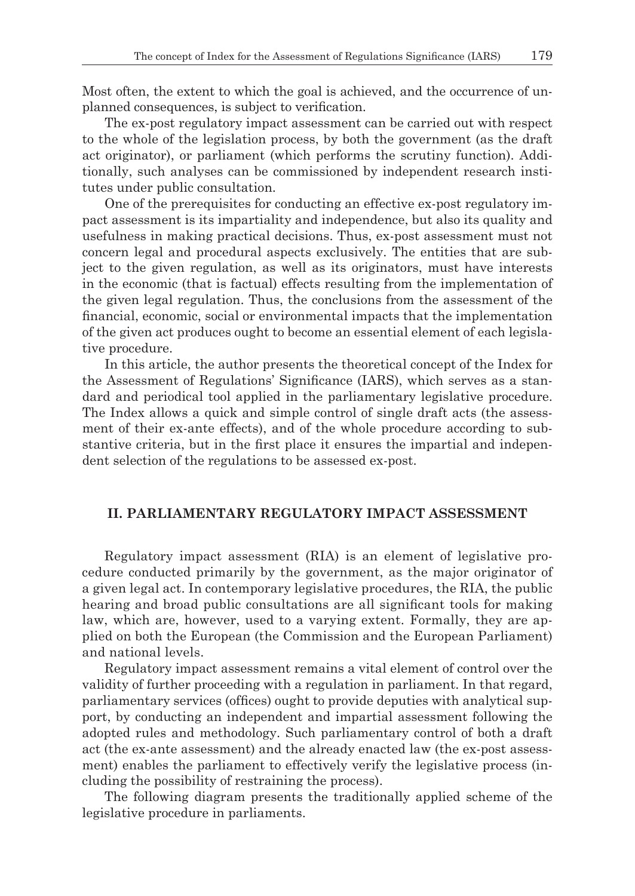Most often, the extent to which the goal is achieved, and the occurrence of unplanned consequences, is subject to verification.

The ex-post regulatory impact assessment can be carried out with respect to the whole of the legislation process, by both the government (as the draft act originator), or parliament (which performs the scrutiny function). Additionally, such analyses can be commissioned by independent research institutes under public consultation.

One of the prerequisites for conducting an effective ex-post regulatory impact assessment is its impartiality and independence, but also its quality and usefulness in making practical decisions. Thus, ex-post assessment must not concern legal and procedural aspects exclusively. The entities that are subject to the given regulation, as well as its originators, must have interests in the economic (that is factual) effects resulting from the implementation of the given legal regulation. Thus, the conclusions from the assessment of the financial, economic, social or environmental impacts that the implementation of the given act produces ought to become an essential element of each legislative procedure.

In this article, the author presents the theoretical concept of the Index for the Assessment of Regulations' Significance (IARS), which serves as a standard and periodical tool applied in the parliamentary legislative procedure. The Index allows a quick and simple control of single draft acts (the assessment of their ex-ante effects), and of the whole procedure according to substantive criteria, but in the first place it ensures the impartial and independent selection of the regulations to be assessed ex-post.

# **II. PARLIAMENTARY REGULATORY IMPACT ASSESSMENT**

Regulatory impact assessment (RIA) is an element of legislative procedure conducted primarily by the government, as the major originator of a given legal act. In contemporary legislative procedures, the RIA, the public hearing and broad public consultations are all significant tools for making law, which are, however, used to a varying extent. Formally, they are applied on both the European (the Commission and the European Parliament) and national levels.

Regulatory impact assessment remains a vital element of control over the validity of further proceeding with a regulation in parliament. In that regard, parliamentary services (offices) ought to provide deputies with analytical support, by conducting an independent and impartial assessment following the adopted rules and methodology. Such parliamentary control of both a draft act (the ex-ante assessment) and the already enacted law (the ex-post assessment) enables the parliament to effectively verify the legislative process (including the possibility of restraining the process).

The following diagram presents the traditionally applied scheme of the legislative procedure in parliaments.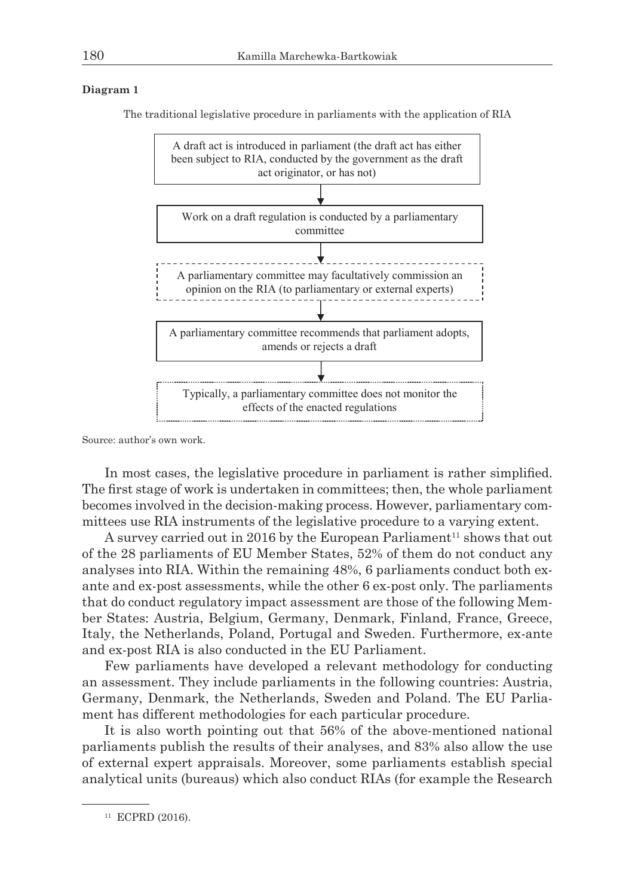### **Diagram 1**

The traditional legislative procedure in parliaments with the application of RIA



Source: author's own work.

In most cases, the legislative procedure in parliament is rather simplified. The first stage of work is undertaken in committees; then, the whole parliament becomes involved in the decision-making process. However, parliamentary committees use RIA instruments of the legislative procedure to a varying extent.

A survey carried out in 2016 by the European Parliament<sup>11</sup> shows that out of the 28 parliaments of EU Member States, 52% of them do not conduct any analyses into RIA. Within the remaining 48%, 6 parliaments conduct both exante and ex-post assessments, while the other 6 ex-post only. The parliaments that do conduct regulatory impact assessment are those of the following Member States: Austria, Belgium, Germany, Denmark, Finland, France, Greece, Italy, the Netherlands, Poland, Portugal and Sweden. Furthermore, ex-ante and ex-post RIA is also conducted in the EU Parliament.

Few parliaments have developed a relevant methodology for conducting an assessment. They include parliaments in the following countries: Austria, Germany, Denmark, the Netherlands, Sweden and Poland. The EU Parliament has different methodologies for each particular procedure.

It is also worth pointing out that 56% of the above-mentioned national parliaments publish the results of their analyses, and 83% also allow the use of external expert appraisals. Moreover, some parliaments establish special analytical units (bureaus) which also conduct RIAs (for example the Research

 $11$  ECPRD (2016).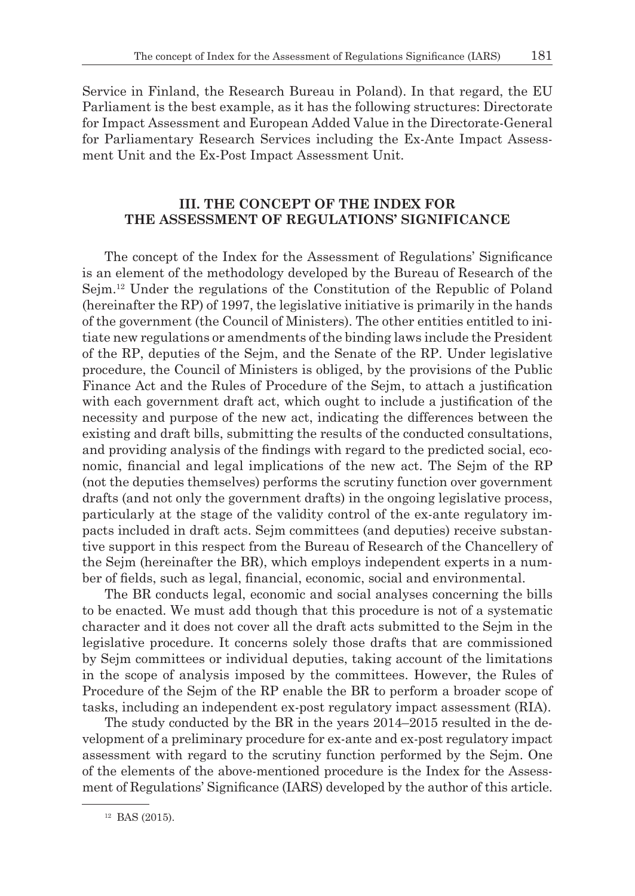Service in Finland, the Research Bureau in Poland). In that regard, the EU Parliament is the best example, as it has the following structures: Directorate for Impact Assessment and European Added Value in the Directorate-General for Parliamentary Research Services including the Ex-Ante Impact Assessment Unit and the Ex-Post Impact Assessment Unit.

# **III. THE CONCEPT OF THE INDEX FOR THE ASSESSMENT OF REGULATIONS' SIGNIFICANCE**

The concept of the Index for the Assessment of Regulations' Significance is an element of the methodology developed by the Bureau of Research of the Sejm.12 Under the regulations of the Constitution of the Republic of Poland (hereinafter the RP) of 1997, the legislative initiative is primarily in the hands of the government (the Council of Ministers). The other entities entitled to initiate new regulations or amendments of the binding laws include the President of the RP, deputies of the Sejm, and the Senate of the RP. Under legislative procedure, the Council of Ministers is obliged, by the provisions of the Public Finance Act and the Rules of Procedure of the Sejm, to attach a justification with each government draft act, which ought to include a justification of the necessity and purpose of the new act, indicating the differences between the existing and draft bills, submitting the results of the conducted consultations, and providing analysis of the findings with regard to the predicted social, economic, financial and legal implications of the new act. The Sejm of the RP (not the deputies themselves) performs the scrutiny function over government drafts (and not only the government drafts) in the ongoing legislative process, particularly at the stage of the validity control of the ex-ante regulatory impacts included in draft acts. Sejm committees (and deputies) receive substantive support in this respect from the Bureau of Research of the Chancellery of the Sejm (hereinafter the BR), which employs independent experts in a number of fields, such as legal, financial, economic, social and environmental.

The BR conducts legal, economic and social analyses concerning the bills to be enacted. We must add though that this procedure is not of a systematic character and it does not cover all the draft acts submitted to the Sejm in the legislative procedure. It concerns solely those drafts that are commissioned by Sejm committees or individual deputies, taking account of the limitations in the scope of analysis imposed by the committees. However, the Rules of Procedure of the Sejm of the RP enable the BR to perform a broader scope of tasks, including an independent ex-post regulatory impact assessment (RIA).

The study conducted by the BR in the years 2014–2015 resulted in the development of a preliminary procedure for ex-ante and ex-post regulatory impact assessment with regard to the scrutiny function performed by the Sejm. One of the elements of the above-mentioned procedure is the Index for the Assessment of Regulations' Significance (IARS) developed by the author of this article.

 $12$  BAS (2015).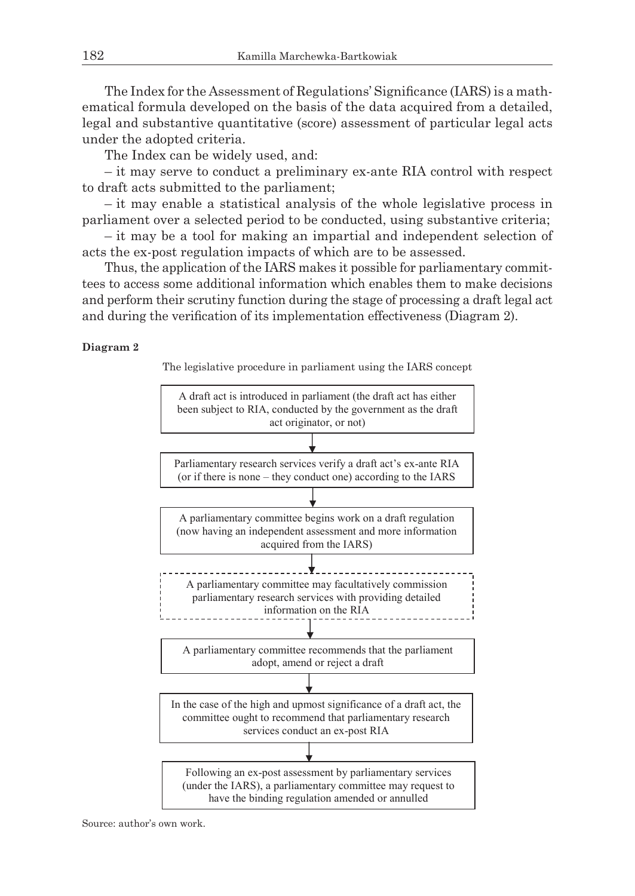The Index for the Assessment of Regulations' Significance (IARS) is a mathematical formula developed on the basis of the data acquired from a detailed, legal and substantive quantitative (score) assessment of particular legal acts under the adopted criteria.

The Index can be widely used, and:

– it may serve to conduct a preliminary ex-ante RIA control with respect to draft acts submitted to the parliament;

– it may enable a statistical analysis of the whole legislative process in parliament over a selected period to be conducted, using substantive criteria;

– it may be a tool for making an impartial and independent selection of acts the ex-post regulation impacts of which are to be assessed.

Thus, the application of the IARS makes it possible for parliamentary committees to access some additional information which enables them to make decisions and perform their scrutiny function during the stage of processing a draft legal act and during the verification of its implementation effectiveness (Diagram 2).

#### **Diagram 2**

The legislative procedure in parliament using the IARS concept



Source: author's own work.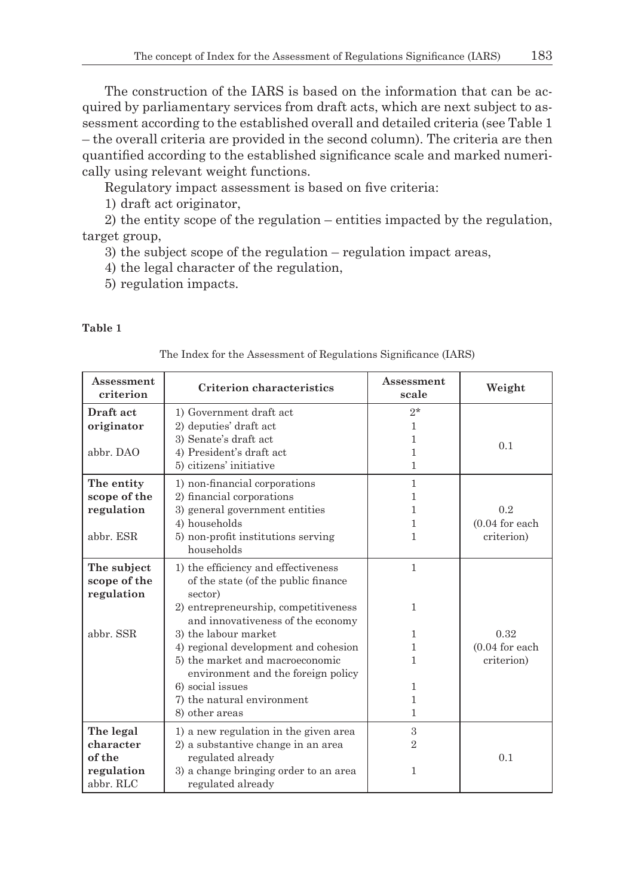The construction of the IARS is based on the information that can be acquired by parliamentary services from draft acts, which are next subject to assessment according to the established overall and detailed criteria (see Table 1 – the overall criteria are provided in the second column). The criteria are then quantified according to the established significance scale and marked numerically using relevant weight functions.

Regulatory impact assessment is based on five criteria:

1) draft act originator,

2) the entity scope of the regulation – entities impacted by the regulation, target group,

3) the subject scope of the regulation – regulation impact areas,

4) the legal character of the regulation,

5) regulation impacts.

## **Table 1**

| The Index for the Assessment of Regulations Significance (IARS) |  |  |  |
|-----------------------------------------------------------------|--|--|--|
|-----------------------------------------------------------------|--|--|--|

| Assessment<br>criterion | <b>Criterion characteristics</b>      | Assessment<br>scale | Weight            |
|-------------------------|---------------------------------------|---------------------|-------------------|
| Draft act               | 1) Government draft act               | $2*$                |                   |
| originator              | 2) deputies' draft act                | 1                   |                   |
|                         | 3) Senate's draft act                 | 1                   | 0.1               |
| abbr. DAO               | 4) President's draft act              | 1                   |                   |
|                         | 5) citizens' initiative               | 1                   |                   |
| The entity              | 1) non-financial corporations         | $\mathbf{1}$        |                   |
| scope of the            | 2) financial corporations             | 1                   |                   |
| regulation              | 3) general government entities        | 1                   | 0.2               |
|                         | 4) households                         | 1                   | $(0.04$ for each  |
| abbr. ESR               | 5) non-profit institutions serving    | 1                   | criterion)        |
|                         | households                            |                     |                   |
| The subject             | 1) the efficiency and effectiveness   | $\mathbf{1}$        |                   |
| scope of the            | of the state (of the public finance   |                     |                   |
| regulation              | sector)                               |                     |                   |
|                         | 2) entrepreneurship, competitiveness  | 1                   |                   |
|                         | and innovativeness of the economy     |                     |                   |
| abbr. SSR               | 3) the labour market                  | 1                   | 0.32              |
|                         | 4) regional development and cohesion  | 1                   | $(0.04)$ for each |
|                         | 5) the market and macroeconomic       | 1                   | criterion)        |
|                         | environment and the foreign policy    |                     |                   |
|                         | 6) social issues                      | 1                   |                   |
|                         | 7) the natural environment            | 1                   |                   |
|                         | 8) other areas                        | 1                   |                   |
| The legal               | 1) a new regulation in the given area | 3                   |                   |
| character               | 2) a substantive change in an area    | $\overline{2}$      |                   |
| of the                  | regulated already                     |                     | 0.1               |
| regulation              | 3) a change bringing order to an area | 1                   |                   |
| abbr. RLC               | regulated already                     |                     |                   |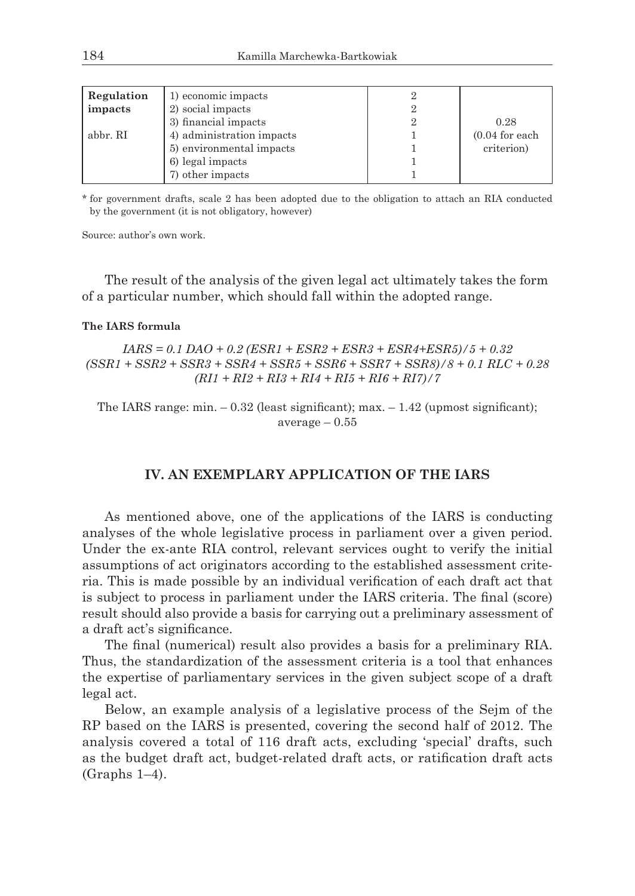| Regulation | 1) economic impacts       |                   |
|------------|---------------------------|-------------------|
| impacts    | 2) social impacts         |                   |
|            | 3) financial impacts      | 0.28              |
| abbr. RI   | 4) administration impacts | $(0.04)$ for each |
|            | 5) environmental impacts  | criterion)        |
|            | 6) legal impacts          |                   |
|            | 7) other impacts          |                   |

\* for government drafts, scale 2 has been adopted due to the obligation to attach an RIA conducted by the government (it is not obligatory, however)

Source: author's own work.

The result of the analysis of the given legal act ultimately takes the form of a particular number, which should fall within the adopted range.

#### **The IARS formula**

*IARS = 0.1 DAO + 0.2 (ESR1 + ESR2 + ESR3 + ESR4+ESR5)/5 + 0.32 (SSR1 + SSR2 + SSR3 + SSR4 + SSR5 + SSR6 + SSR7 + SSR8)/8 + 0.1 RLC + 0.28 (RI1 + RI2 + RI3 + RI4 + RI5 + RI6 + RI7)/7*

The IARS range: min. – 0.32 (least significant); max. – 1.42 (upmost significant);  $average - 0.55$ 

# **IV. AN EXEMPLARY APPLICATION OF THE IARS**

As mentioned above, one of the applications of the IARS is conducting analyses of the whole legislative process in parliament over a given period. Under the ex-ante RIA control, relevant services ought to verify the initial assumptions of act originators according to the established assessment criteria. This is made possible by an individual verification of each draft act that is subject to process in parliament under the IARS criteria. The final (score) result should also provide a basis for carrying out a preliminary assessment of a draft act's significance.

The final (numerical) result also provides a basis for a preliminary RIA. Thus, the standardization of the assessment criteria is a tool that enhances the expertise of parliamentary services in the given subject scope of a draft legal act.

Below, an example analysis of a legislative process of the Sejm of the RP based on the IARS is presented, covering the second half of 2012. The analysis covered a total of 116 draft acts, excluding 'special' drafts, such as the budget draft act, budget-related draft acts, or ratification draft acts (Graphs 1–4).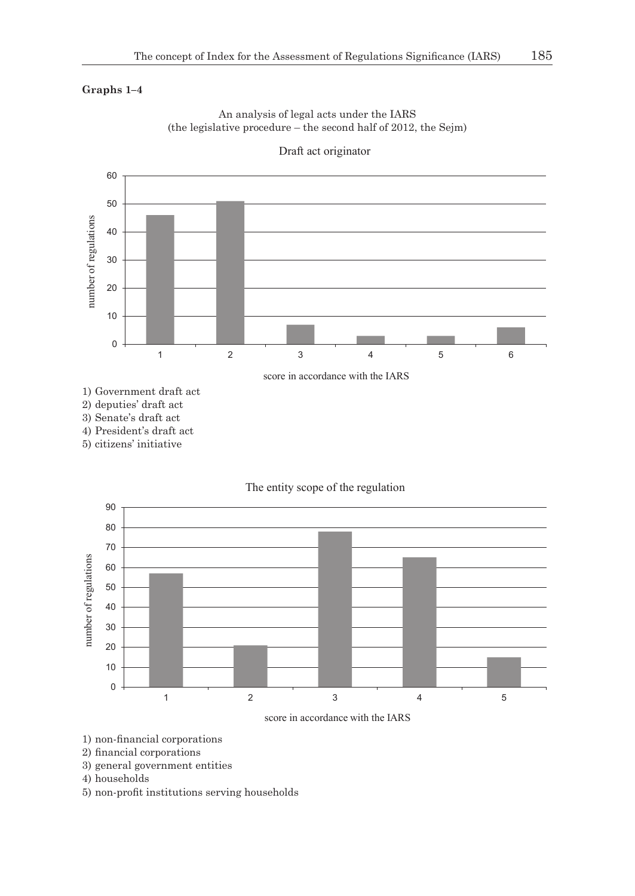# **Graphs 1–4**



An analysis of legal acts under the IARS (the legislative procedure – the second half of 2012, the Sejm)

2) deputies' draft act

3) Senate's draft act

4) President's draft act

5) citizens' initiative





score in accordance with the IARS

1) non-financial corporations

- 2) financial corporations
- 3) general government entities

4) households

5) non-profit institutions serving households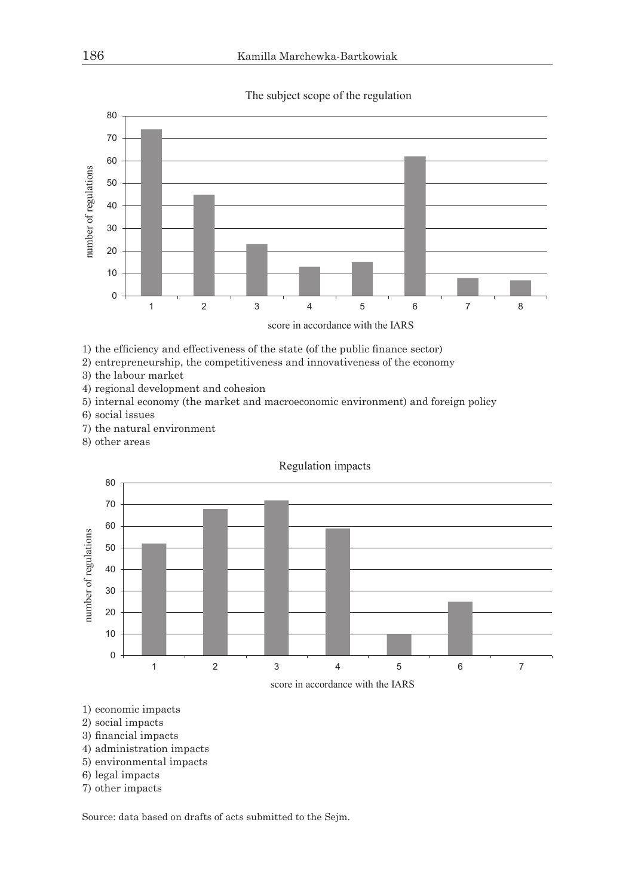



1) the efficiency and effectiveness of the state (of the public finance sector)

2) entrepreneurship, the competitiveness and innovativeness of the economy

3) the labour market

4) regional development and cohesion

5) internal economy (the market and macroeconomic environment) and foreign policy

- 6) social issues
- 7) the natural environment
- 8) other areas



Regulation impacts

- 1) economic impacts
- 2) social impacts
- 3) financial impacts
- 4) administration impacts
- 5) environmental impacts
- 6) legal impacts
- 7) other impacts

Source: data based on drafts of acts submitted to the Sejm.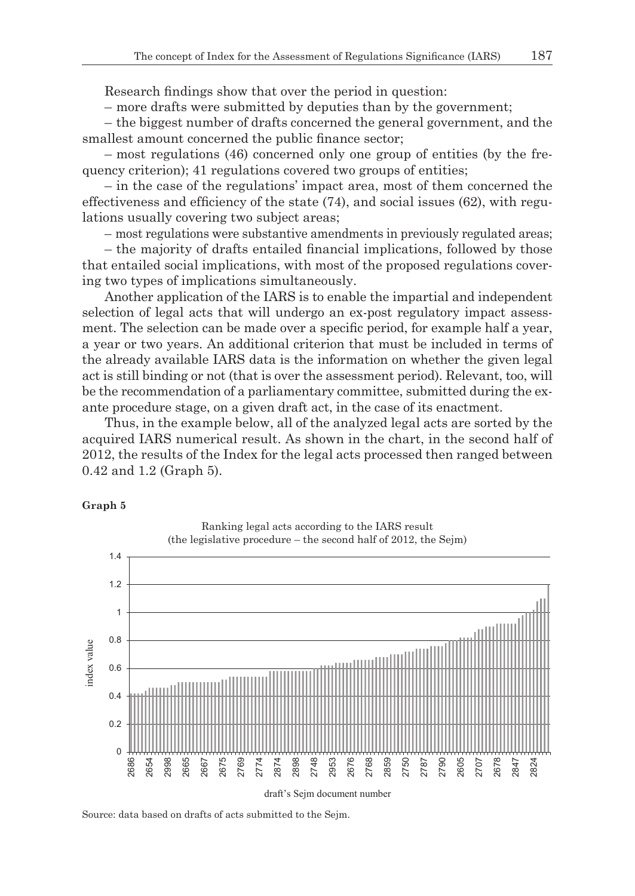Research findings show that over the period in question:

– more drafts were submitted by deputies than by the government;

– the biggest number of drafts concerned the general government, and the smallest amount concerned the public finance sector;

– most regulations (46) concerned only one group of entities (by the frequency criterion); 41 regulations covered two groups of entities;

– in the case of the regulations' impact area, most of them concerned the effectiveness and efficiency of the state  $(74)$ , and social issues  $(62)$ , with regulations usually covering two subject areas;

– most regulations were substantive amendments in previously regulated areas;

– the majority of drafts entailed financial implications, followed by those that entailed social implications, with most of the proposed regulations covering two types of implications simultaneously.

Another application of the IARS is to enable the impartial and independent selection of legal acts that will undergo an ex-post regulatory impact assessment. The selection can be made over a specific period, for example half a year, a year or two years. An additional criterion that must be included in terms of the already available IARS data is the information on whether the given legal act is still binding or not (that is over the assessment period). Relevant, too, will be the recommendation of a parliamentary committee, submitted during the exante procedure stage, on a given draft act, in the case of its enactment.

Thus, in the example below, all of the analyzed legal acts are sorted by the acquired IARS numerical result. As shown in the chart, in the second half of 2012, the results of the Index for the legal acts processed then ranged between 0.42 and 1.2 (Graph 5).

#### **Graph 5**



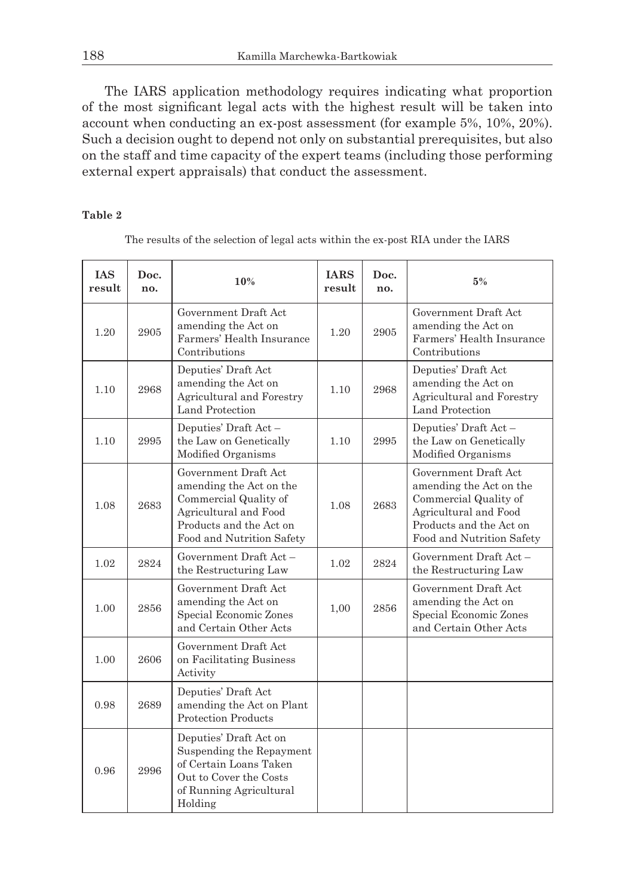The IARS application methodology requires indicating what proportion of the most significant legal acts with the highest result will be taken into account when conducting an ex-post assessment (for example 5%, 10%, 20%). Such a decision ought to depend not only on substantial prerequisites, but also on the staff and time capacity of the expert teams (including those performing external expert appraisals) that conduct the assessment.

### **Table 2**

The results of the selection of legal acts within the ex-post RIA under the IARS

| <b>IAS</b><br>result | Doc.<br>no. | 10%                                                                                                                                                       | <b>IARS</b><br>result | Doc.<br>no. | 5%                                                                                                                                                        |
|----------------------|-------------|-----------------------------------------------------------------------------------------------------------------------------------------------------------|-----------------------|-------------|-----------------------------------------------------------------------------------------------------------------------------------------------------------|
| 1.20                 | 2905        | Government Draft Act<br>amending the Act on<br>Farmers' Health Insurance<br>Contributions                                                                 | 1.20                  | 2905        | Government Draft Act<br>amending the Act on<br>Farmers' Health Insurance<br>Contributions                                                                 |
| 1.10                 | 2968        | Deputies' Draft Act<br>amending the Act on<br>Agricultural and Forestry<br>Land Protection                                                                | 1.10                  | 2968        | Deputies' Draft Act<br>amending the Act on<br>Agricultural and Forestry<br>Land Protection                                                                |
| 1.10                 | 2995        | Deputies' Draft Act -<br>the Law on Genetically<br>Modified Organisms                                                                                     | 1.10                  | 2995        | Deputies' Draft Act -<br>the Law on Genetically<br>Modified Organisms                                                                                     |
| 1.08                 | 2683        | Government Draft Act<br>amending the Act on the<br>Commercial Quality of<br>Agricultural and Food<br>Products and the Act on<br>Food and Nutrition Safety | 1.08                  | 2683        | Government Draft Act<br>amending the Act on the<br>Commercial Quality of<br>Agricultural and Food<br>Products and the Act on<br>Food and Nutrition Safety |
| 1.02                 | 2824        | Government Draft Act -<br>the Restructuring Law                                                                                                           | 1.02                  | 2824        | Government Draft Act -<br>the Restructuring Law                                                                                                           |
| 1.00                 | 2856        | Government Draft Act<br>amending the Act on<br>Special Economic Zones<br>and Certain Other Acts                                                           | 1,00                  | 2856        | Government Draft Act<br>amending the Act on<br>Special Economic Zones<br>and Certain Other Acts                                                           |
| 1.00                 | 2606        | Government Draft Act<br>on Facilitating Business<br>Activity                                                                                              |                       |             |                                                                                                                                                           |
| 0.98                 | 2689        | Deputies' Draft Act<br>amending the Act on Plant<br><b>Protection Products</b>                                                                            |                       |             |                                                                                                                                                           |
| 0.96                 | 2996        | Deputies' Draft Act on<br>Suspending the Repayment<br>of Certain Loans Taken<br>Out to Cover the Costs<br>of Running Agricultural<br>Holding              |                       |             |                                                                                                                                                           |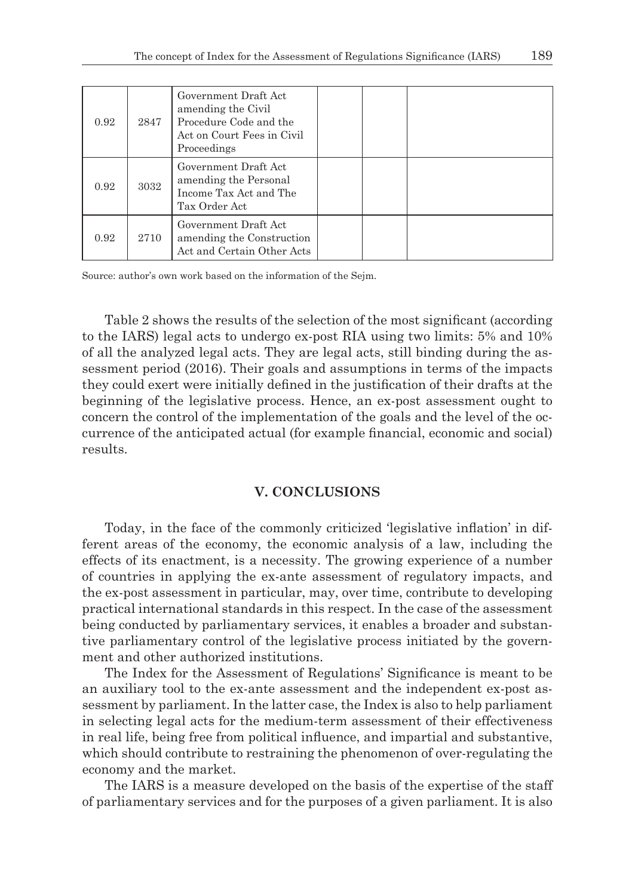| 0.92 | 2847 | Government Draft Act<br>amending the Civil<br>Procedure Code and the<br>Act on Court Fees in Civil<br>Proceedings |  |  |
|------|------|-------------------------------------------------------------------------------------------------------------------|--|--|
| 0.92 | 3032 | Government Draft Act<br>amending the Personal<br>Income Tax Act and The<br>Tax Order Act                          |  |  |
| 0.92 | 2710 | Government Draft Act<br>amending the Construction<br>Act and Certain Other Acts                                   |  |  |

Source: author's own work based on the information of the Sejm.

Table 2 shows the results of the selection of the most significant (according to the IARS) legal acts to undergo ex-post RIA using two limits: 5% and 10% of all the analyzed legal acts. They are legal acts, still binding during the assessment period (2016). Their goals and assumptions in terms of the impacts they could exert were initially defined in the justification of their drafts at the beginning of the legislative process. Hence, an ex-post assessment ought to concern the control of the implementation of the goals and the level of the occurrence of the anticipated actual (for example financial, economic and social) results.

# **V. CONCLUSIONS**

Today, in the face of the commonly criticized 'legislative inflation' in different areas of the economy, the economic analysis of a law, including the effects of its enactment, is a necessity. The growing experience of a number of countries in applying the ex-ante assessment of regulatory impacts, and the ex-post assessment in particular, may, over time, contribute to developing practical international standards in this respect. In the case of the assessment being conducted by parliamentary services, it enables a broader and substantive parliamentary control of the legislative process initiated by the government and other authorized institutions.

The Index for the Assessment of Regulations' Significance is meant to be an auxiliary tool to the ex-ante assessment and the independent ex-post assessment by parliament. In the latter case, the Index is also to help parliament in selecting legal acts for the medium-term assessment of their effectiveness in real life, being free from political influence, and impartial and substantive, which should contribute to restraining the phenomenon of over-regulating the economy and the market.

The IARS is a measure developed on the basis of the expertise of the staff of parliamentary services and for the purposes of a given parliament. It is also